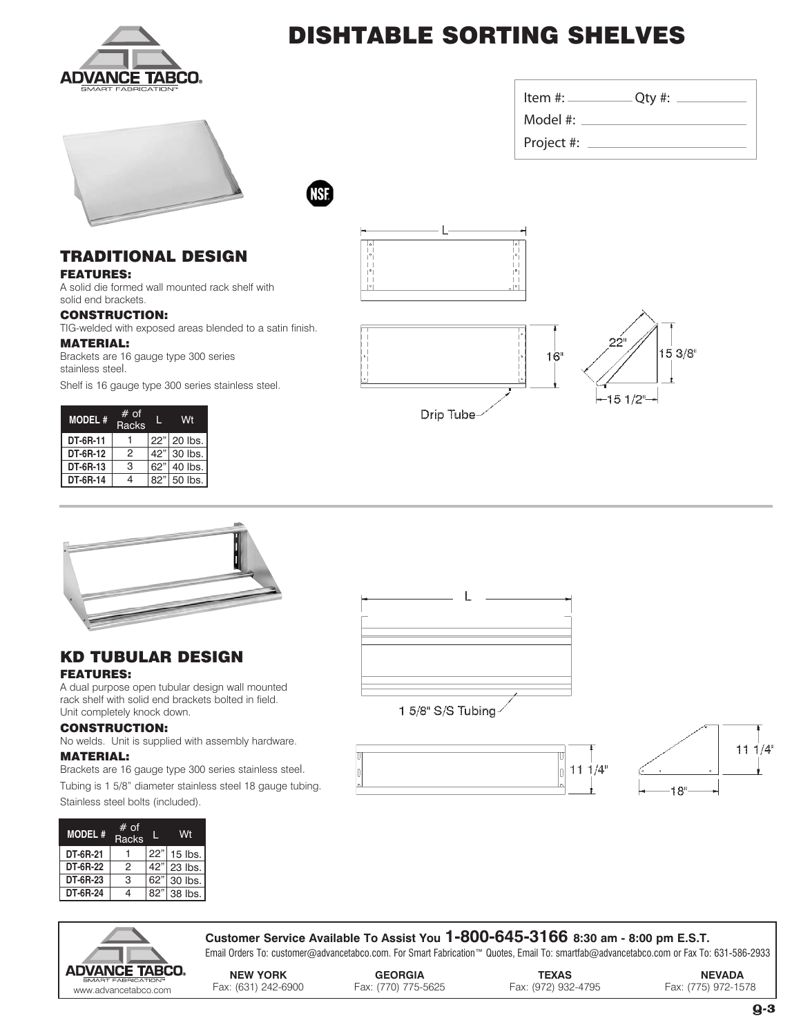

# DISHTABLE SORTING SHELVES



Item #: Qty #: Model #: Project #:

NSF

### TRADITIONAL DESIGN

FEATURES:

A solid die formed wall mounted rack shelf with solid end brackets.

#### CONSTRUCTION:

TIG-welded with exposed areas blended to a satin finish.

#### MATERIAL:

Brackets are 16 gauge type 300 series stainless steel.

Shelf is 16 gauge type 300 series stainless steel.

| <b>MODEL#</b> | # of<br>Racks |     |             |  |
|---------------|---------------|-----|-------------|--|
| DT-6R-11      |               |     | 22" 20 lbs. |  |
| DT-6R-12      | 2             | 42" | 30 lbs.     |  |
| DT-6R-13      | З             | 62" | 40 lbs.     |  |
| DT-6R-14      |               | 82" | 50 lbs.     |  |







### KD TUBULAR DESIGN FEATURES:

A dual purpose open tubular design wall mounted rack shelf with solid end brackets bolted in field. Unit completely knock down.

#### CONSTRUCTION:

No welds. Unit is supplied with assembly hardware.

#### MATERIAL:

Brackets are 16 gauge type 300 series stainless steel.

Tubing is 1 5/8" diameter stainless steel 18 gauge tubing. Stainless steel bolts (included).

| <b>MODEL#</b> | $#$ of<br><b>Racks</b> |     | Wt        |  |
|---------------|------------------------|-----|-----------|--|
| DT-6R-21      |                        | 22" | $15$ lbs. |  |
| DT-6R-22      | 2                      | 42" | 23 lbs.   |  |
| DT-6R-23      | 3                      | 62" | 30 lbs.   |  |
| DT-6R-24      | 4                      | 82" | 38 lbs.   |  |











**Customer Service Available To Assist You 1-800-645-3166 8:30 am - 8:00 pm E.S.T.** Email Orders To: customer@advancetabco.com. For Smart Fabrication™ Quotes, Email To: smartfab@advancetabco.com or Fax To: 631-586-2933

**NEW YORK GEORGIA TEXAS NEVADA** www.advancetabco.com Fax: (631) 242-6900 Fax: (770) 775-5625 Fax: (972) 932-4795 Fax: (775) 972-1578